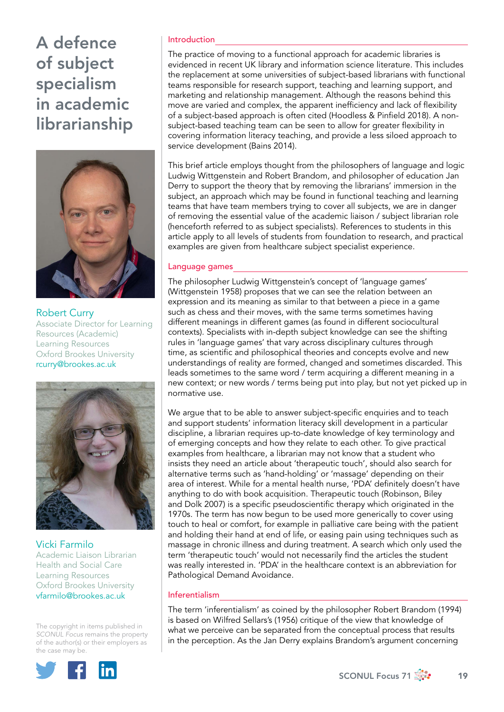

Robert Curry Associate Director for Learning Resources (Academic) Learning Resources Oxford Brookes University rcurry@brookes.ac.uk



Vicki Farmilo Academic Liaison Librarian Health and Social Care Learning Resources Oxford Brookes University vfarmilo@brookes.ac.uk

The copyright in items published in *SCONUL Focus* remains the property of the author(s) or their employers as the case may be.



## Introduction

The practice of moving to a functional approach for academic libraries is evidenced in recent UK library and information science literature. This includes the replacement at some universities of subject-based librarians with functional teams responsible for research support, teaching and learning support, and marketing and relationship management. Although the reasons behind this move are varied and complex, the apparent inefficiency and lack of flexibility of a subject-based approach is often cited (Hoodless & Pinfield 2018). A nonsubject-based teaching team can be seen to allow for greater flexibility in covering information literacy teaching, and provide a less siloed approach to service development (Bains 2014).

This brief article employs thought from the philosophers of language and logic Ludwig Wittgenstein and Robert Brandom, and philosopher of education Jan Derry to support the theory that by removing the librarians' immersion in the subject, an approach which may be found in functional teaching and learning teams that have team members trying to cover all subjects, we are in danger of removing the essential value of the academic liaison / subject librarian role (henceforth referred to as subject specialists). References to students in this article apply to all levels of students from foundation to research, and practical examples are given from healthcare subject specialist experience.

### Language games

The philosopher Ludwig Wittgenstein's concept of 'language games' (Wittgenstein 1958) proposes that we can see the relation between an expression and its meaning as similar to that between a piece in a game such as chess and their moves, with the same terms sometimes having different meanings in different games (as found in different sociocultural contexts). Specialists with in-depth subject knowledge can see the shifting rules in 'language games' that vary across disciplinary cultures through time, as scientific and philosophical theories and concepts evolve and new understandings of reality are formed, changed and sometimes discarded. This leads sometimes to the same word / term acquiring a different meaning in a new context; or new words / terms being put into play, but not yet picked up in normative use.

We argue that to be able to answer subject-specific enquiries and to teach and support students' information literacy skill development in a particular discipline, a librarian requires up-to-date knowledge of key terminology and of emerging concepts and how they relate to each other. To give practical examples from healthcare, a librarian may not know that a student who insists they need an article about 'therapeutic touch', should also search for alternative terms such as 'hand-holding' or 'massage' depending on their area of interest. While for a mental health nurse, 'PDA' definitely doesn't have anything to do with book acquisition. Therapeutic touch (Robinson, Biley and Dolk 2007) is a specific pseudoscientific therapy which originated in the 1970s. The term has now begun to be used more generically to cover using touch to heal or comfort, for example in palliative care being with the patient and holding their hand at end of life, or easing pain using techniques such as massage in chronic illness and during treatment. A search which only used the term 'therapeutic touch' would not necessarily find the articles the student was really interested in. 'PDA' in the healthcare context is an abbreviation for Pathological Demand Avoidance.

## Inferentialism

The term 'inferentialism' as coined by the philosopher Robert Brandom (1994) is based on Wilfred Sellars's (1956) critique of the view that knowledge of what we perceive can be separated from the conceptual process that results in the perception. As the Jan Derry explains Brandom's argument concerning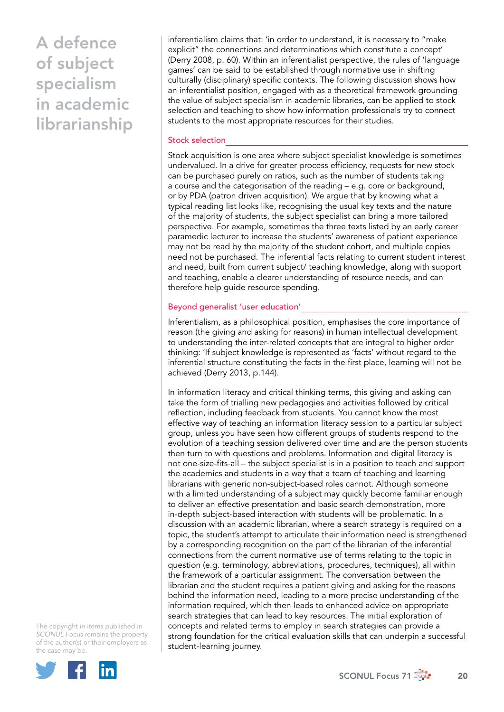inferentialism claims that: 'in order to understand, it is necessary to "make explicit" the connections and determinations which constitute a concept' (Derry 2008, p. 60). Within an inferentialist perspective, the rules of 'language games' can be said to be established through normative use in shifting culturally (disciplinary) specific contexts. The following discussion shows how an inferentialist position, engaged with as a theoretical framework grounding the value of subject specialism in academic libraries, can be applied to stock selection and teaching to show how information professionals try to connect students to the most appropriate resources for their studies.

#### Stock selection

Stock acquisition is one area where subject specialist knowledge is sometimes undervalued. In a drive for greater process efficiency, requests for new stock can be purchased purely on ratios, such as the number of students taking a course and the categorisation of the reading – e.g. core or background, or by PDA (patron driven acquisition). We argue that by knowing what a typical reading list looks like, recognising the usual key texts and the nature of the majority of students, the subject specialist can bring a more tailored perspective. For example, sometimes the three texts listed by an early career paramedic lecturer to increase the students' awareness of patient experience may not be read by the majority of the student cohort, and multiple copies need not be purchased. The inferential facts relating to current student interest and need, built from current subject/ teaching knowledge, along with support and teaching, enable a clearer understanding of resource needs, and can therefore help guide resource spending.

### Beyond generalist 'user education'

Inferentialism, as a philosophical position, emphasises the core importance of reason (the giving and asking for reasons) in human intellectual development to understanding the inter-related concepts that are integral to higher order thinking: 'If subject knowledge is represented as 'facts' without regard to the inferential structure constituting the facts in the first place, learning will not be achieved (Derry 2013, p.144).

In information literacy and critical thinking terms, this giving and asking can take the form of trialling new pedagogies and activities followed by critical reflection, including feedback from students. You cannot know the most effective way of teaching an information literacy session to a particular subject group, unless you have seen how different groups of students respond to the evolution of a teaching session delivered over time and are the person students then turn to with questions and problems. Information and digital literacy is not one-size-fits-all – the subject specialist is in a position to teach and support the academics and students in a way that a team of teaching and learning librarians with generic non-subject-based roles cannot. Although someone with a limited understanding of a subject may quickly become familiar enough to deliver an effective presentation and basic search demonstration, more in-depth subject-based interaction with students will be problematic. In a discussion with an academic librarian, where a search strategy is required on a topic, the student's attempt to articulate their information need is strengthened by a corresponding recognition on the part of the librarian of the inferential connections from the current normative use of terms relating to the topic in question (e.g. terminology, abbreviations, procedures, techniques), all within the framework of a particular assignment. The conversation between the librarian and the student requires a patient giving and asking for the reasons behind the information need, leading to a more precise understanding of the information required, which then leads to enhanced advice on appropriate search strategies that can lead to key resources. The initial exploration of concepts and related terms to employ in search strategies can provide a strong foundation for the critical evaluation skills that can underpin a successful student-learning journey.

The copyright in items published in *SCONUL Focus* remains the property of the author(s) or their employers as the case may be.

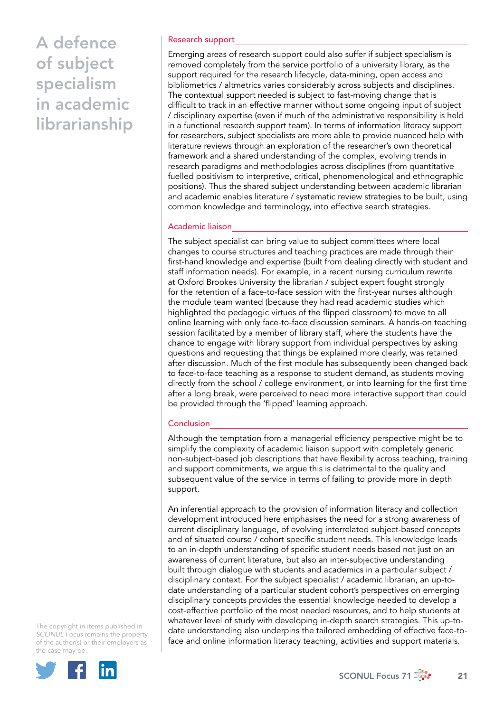#### Research support

Emerging areas of research support could also suffer if subject specialism is removed completely from the service portfolio of a university library, as the support required for the research lifecycle, data-mining, open access and bibliometrics / altmetrics varies considerably across subjects and disciplines. The contextual support needed is subject to fast-moving change that is difficult to track in an effective manner without some ongoing input of subject / disciplinary expertise (even if much of the administrative responsibility is held in a functional research support team). In terms of information literacy support for researchers, subject specialists are more able to provide nuanced help with literature reviews through an exploration of the researcher's own theoretical framework and a shared understanding of the complex, evolving trends in research paradigms and methodologies across disciplines (from quantitative fuelled positivism to interpretive, critical, phenomenological and ethnographic positions). Thus the shared subject understanding between academic librarian and academic enables literature / systematic review strategies to be built, using common knowledge and terminology, into effective search strategies.

#### Academic liaison

The subject specialist can bring value to subject committees where local changes to course structures and teaching practices are made through their first-hand knowledge and expertise (built from dealing directly with student and staff information needs). For example, in a recent nursing curriculum rewrite at Oxford Brookes University the librarian / subject expert fought strongly for the retention of a face-to-face session with the first-year nurses although the module team wanted (because they had read academic studies which highlighted the pedagogic virtues of the flipped classroom) to move to all online learning with only face-to-face discussion seminars. A hands-on teaching session facilitated by a member of library staff, where the students have the chance to engage with library support from individual perspectives by asking questions and requesting that things be explained more clearly, was retained after discussion. Much of the first module has subsequently been changed back to face-to-face teaching as a response to student demand, as students moving directly from the school / college environment, or into learning for the first time after a long break, were perceived to need more interactive support than could be provided through the 'flipped' learning approach.

### **Conclusion**

Although the temptation from a managerial efficiency perspective might be to simplify the complexity of academic liaison support with completely generic non-subject-based job descriptions that have flexibility across teaching, training and support commitments, we argue this is detrimental to the quality and subsequent value of the service in terms of failing to provide more in depth support.

An inferential approach to the provision of information literacy and collection development introduced here emphasises the need for a strong awareness of current disciplinary language, of evolving interrelated subject-based concepts and of situated course / cohort specific student needs. This knowledge leads to an in-depth understanding of specific student needs based not just on an awareness of current literature, but also an inter-subjective understanding built through dialogue with students and academics in a particular subject / disciplinary context. For the subject specialist / academic librarian, an up-todate understanding of a particular student cohort's perspectives on emerging disciplinary concepts provides the essential knowledge needed to develop a cost-effective portfolio of the most needed resources, and to help students at whatever level of study with developing in-depth search strategies. This up-todate understanding also underpins the tailored embedding of effective face-toface and online information literacy teaching, activities and support materials.

The copyright in items published in *SCONUL Focus* remains the property of the author(s) or their employers as the case may be.